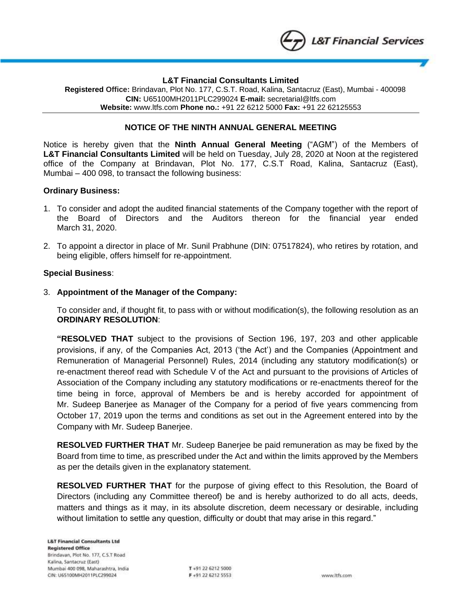

#### **L&T Financial Consultants Limited**

**Registered Office:** Brindavan, Plot No. 177, C.S.T. Road, Kalina, Santacruz (East), Mumbai - 400098 **CIN:** U65100MH2011PLC299024 **E-mail:** secretarial@ltfs.com **Website:** [www.ltfs.com](http://www.ltfs.com/) **Phone no.:** +91 22 6212 5000 **Fax:** +91 22 62125553

#### **NOTICE OF THE NINTH ANNUAL GENERAL MEETING**

Notice is hereby given that the **Ninth Annual General Meeting** ("AGM") of the Members of **L&T Financial Consultants Limited** will be held on Tuesday, July 28, 2020 at Noon at the registered office of the Company at Brindavan, Plot No. 177, C.S.T Road, Kalina, Santacruz (East), Mumbai – 400 098, to transact the following business:

#### **Ordinary Business:**

- 1. To consider and adopt the audited financial statements of the Company together with the report of the Board of Directors and the Auditors thereon for the financial year ended March 31, 2020.
- 2. To appoint a director in place of Mr. Sunil Prabhune (DIN: 07517824), who retires by rotation, and being eligible, offers himself for re-appointment.

#### **Special Business**:

3. **Appointment of the Manager of the Company:**

To consider and, if thought fit, to pass with or without modification(s), the following resolution as an **ORDINARY RESOLUTION**:

**"RESOLVED THAT** subject to the provisions of Section 196, 197, 203 and other applicable provisions, if any, of the Companies Act, 2013 ('the Act') and the Companies (Appointment and Remuneration of Managerial Personnel) Rules, 2014 (including any statutory modification(s) or re-enactment thereof read with Schedule V of the Act and pursuant to the provisions of Articles of Association of the Company including any statutory modifications or re-enactments thereof for the time being in force, approval of Members be and is hereby accorded for appointment of Mr. Sudeep Banerjee as Manager of the Company for a period of five years commencing from October 17, 2019 upon the terms and conditions as set out in the Agreement entered into by the Company with Mr. Sudeep Banerjee.

**RESOLVED FURTHER THAT** Mr. Sudeep Banerjee be paid remuneration as may be fixed by the Board from time to time, as prescribed under the Act and within the limits approved by the Members as per the details given in the explanatory statement.

**RESOLVED FURTHER THAT** for the purpose of giving effect to this Resolution, the Board of Directors (including any Committee thereof) be and is hereby authorized to do all acts, deeds, matters and things as it may, in its absolute discretion, deem necessary or desirable, including without limitation to settle any question, difficulty or doubt that may arise in this regard."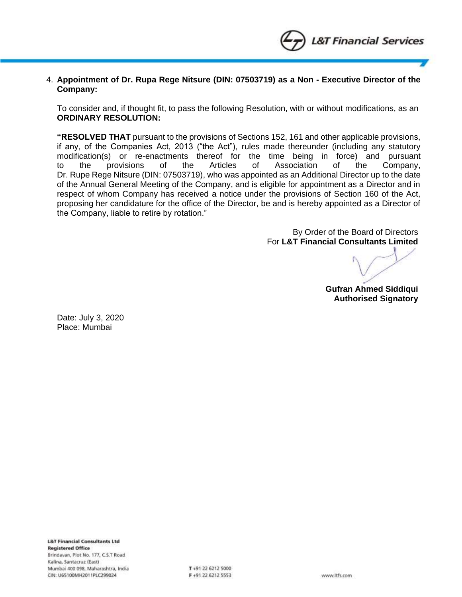

## 4. **Appointment of Dr. Rupa Rege Nitsure (DIN: 07503719) as a Non - Executive Director of the Company:**

To consider and, if thought fit, to pass the following Resolution, with or without modifications, as an **ORDINARY RESOLUTION:**

**"RESOLVED THAT** pursuant to the provisions of Sections 152, 161 and other applicable provisions, if any, of the Companies Act, 2013 ("the Act"), rules made thereunder (including any statutory modification(s) or re-enactments thereof for the time being in force) and pursuant to the provisions of the Articles of Association of the Company, Dr. Rupe Rege Nitsure (DIN: 07503719), who was appointed as an Additional Director up to the date of the Annual General Meeting of the Company, and is eligible for appointment as a Director and in respect of whom Company has received a notice under the provisions of Section 160 of the Act, proposing her candidature for the office of the Director, be and is hereby appointed as a Director of the Company, liable to retire by rotation."

> By Order of the Board of Directors For **L&T Financial Consultants Limited**

**Gufran Ahmed Siddiqui Authorised Signatory**

Date: July 3, 2020 Place: Mumbai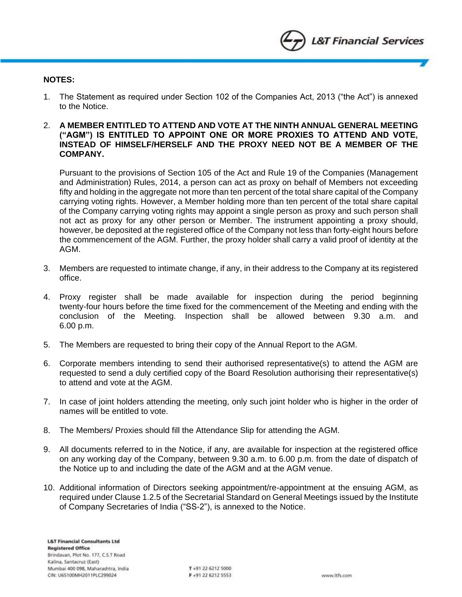

#### **NOTES:**

- 1. The Statement as required under Section 102 of the Companies Act, 2013 ("the Act") is annexed to the Notice.
- 2. **A MEMBER ENTITLED TO ATTEND AND VOTE AT THE NINTH ANNUAL GENERAL MEETING ("AGM") IS ENTITLED TO APPOINT ONE OR MORE PROXIES TO ATTEND AND VOTE, INSTEAD OF HIMSELF/HERSELF AND THE PROXY NEED NOT BE A MEMBER OF THE COMPANY.**

Pursuant to the provisions of Section 105 of the Act and Rule 19 of the Companies (Management and Administration) Rules, 2014, a person can act as proxy on behalf of Members not exceeding fifty and holding in the aggregate not more than ten percent of the total share capital of the Company carrying voting rights. However, a Member holding more than ten percent of the total share capital of the Company carrying voting rights may appoint a single person as proxy and such person shall not act as proxy for any other person or Member. The instrument appointing a proxy should, however, be deposited at the registered office of the Company not less than forty-eight hours before the commencement of the AGM. Further, the proxy holder shall carry a valid proof of identity at the AGM.

- 3. Members are requested to intimate change, if any, in their address to the Company at its registered office.
- 4. Proxy register shall be made available for inspection during the period beginning twenty-four hours before the time fixed for the commencement of the Meeting and ending with the conclusion of the Meeting. Inspection shall be allowed between 9.30 a.m. and 6.00 p.m.
- 5. The Members are requested to bring their copy of the Annual Report to the AGM.
- 6. Corporate members intending to send their authorised representative(s) to attend the AGM are requested to send a duly certified copy of the Board Resolution authorising their representative(s) to attend and vote at the AGM.
- 7. In case of joint holders attending the meeting, only such joint holder who is higher in the order of names will be entitled to vote.
- 8. The Members/ Proxies should fill the Attendance Slip for attending the AGM.
- 9. All documents referred to in the Notice, if any, are available for inspection at the registered office on any working day of the Company, between 9.30 a.m. to 6.00 p.m. from the date of dispatch of the Notice up to and including the date of the AGM and at the AGM venue.
- 10. Additional information of Directors seeking appointment/re-appointment at the ensuing AGM, as required under Clause 1.2.5 of the Secretarial Standard on General Meetings issued by the Institute of Company Secretaries of India ("SS-2"), is annexed to the Notice.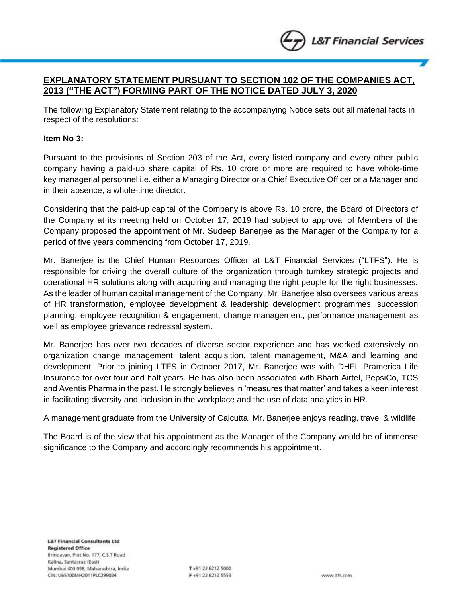

# **EXPLANATORY STATEMENT PURSUANT TO SECTION 102 OF THE COMPANIES ACT, 2013 ("THE ACT") FORMING PART OF THE NOTICE DATED JULY 3, 2020**

The following Explanatory Statement relating to the accompanying Notice sets out all material facts in respect of the resolutions:

#### **Item No 3:**

Pursuant to the provisions of Section 203 of the Act, every listed company and every other public company having a paid-up share capital of Rs. 10 crore or more are required to have whole-time key managerial personnel i.e. either a Managing Director or a Chief Executive Officer or a Manager and in their absence, a whole-time director.

Considering that the paid-up capital of the Company is above Rs. 10 crore, the Board of Directors of the Company at its meeting held on October 17, 2019 had subject to approval of Members of the Company proposed the appointment of Mr. Sudeep Banerjee as the Manager of the Company for a period of five years commencing from October 17, 2019.

Mr. Banerjee is the Chief Human Resources Officer at L&T Financial Services ("LTFS"). He is responsible for driving the overall culture of the organization through turnkey strategic projects and operational HR solutions along with acquiring and managing the right people for the right businesses. As the leader of human capital management of the Company, Mr. Banerjee also oversees various areas of HR transformation, employee development & leadership development programmes, succession planning, employee recognition & engagement, change management, performance management as well as employee grievance redressal system.

Mr. Banerjee has over two decades of diverse sector experience and has worked extensively on organization change management, talent acquisition, talent management, M&A and learning and development. Prior to joining LTFS in October 2017, Mr. Banerjee was with DHFL Pramerica Life Insurance for over four and half years. He has also been associated with Bharti Airtel, PepsiCo, TCS and Aventis Pharma in the past. He strongly believes in 'measures that matter' and takes a keen interest in facilitating diversity and inclusion in the workplace and the use of data analytics in HR.

A management graduate from the University of Calcutta, Mr. Banerjee enjoys reading, travel & wildlife.

The Board is of the view that his appointment as the Manager of the Company would be of immense significance to the Company and accordingly recommends his appointment.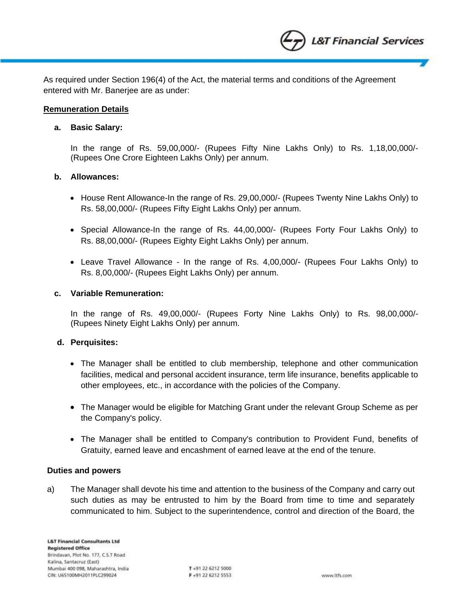As required under Section 196(4) of the Act, the material terms and conditions of the Agreement entered with Mr. Banerjee are as under:

## **Remuneration Details**

## **a. Basic Salary:**

In the range of Rs. 59,00,000/- (Rupees Fifty Nine Lakhs Only) to Rs. 1,18,00,000/- (Rupees One Crore Eighteen Lakhs Only) per annum.

## **b. Allowances:**

- House Rent Allowance-In the range of Rs. 29,00,000/- (Rupees Twenty Nine Lakhs Only) to Rs. 58,00,000/- (Rupees Fifty Eight Lakhs Only) per annum.
- Special Allowance-In the range of Rs. 44,00,000/- (Rupees Forty Four Lakhs Only) to Rs. 88,00,000/- (Rupees Eighty Eight Lakhs Only) per annum.
- Leave Travel Allowance In the range of Rs. 4,00,000/- (Rupees Four Lakhs Only) to Rs. 8,00,000/- (Rupees Eight Lakhs Only) per annum.

## **c. Variable Remuneration:**

In the range of Rs. 49,00,000/- (Rupees Forty Nine Lakhs Only) to Rs. 98,00,000/- (Rupees Ninety Eight Lakhs Only) per annum.

# **d. Perquisites:**

- The Manager shall be entitled to club membership, telephone and other communication facilities, medical and personal accident insurance, term life insurance, benefits applicable to other employees, etc., in accordance with the policies of the Company.
- The Manager would be eligible for Matching Grant under the relevant Group Scheme as per the Company's policy.
- The Manager shall be entitled to Company's contribution to Provident Fund, benefits of Gratuity, earned leave and encashment of earned leave at the end of the tenure.

#### **Duties and powers**

a) The Manager shall devote his time and attention to the business of the Company and carry out such duties as may be entrusted to him by the Board from time to time and separately communicated to him. Subject to the superintendence, control and direction of the Board, the

**L&T Financial Services**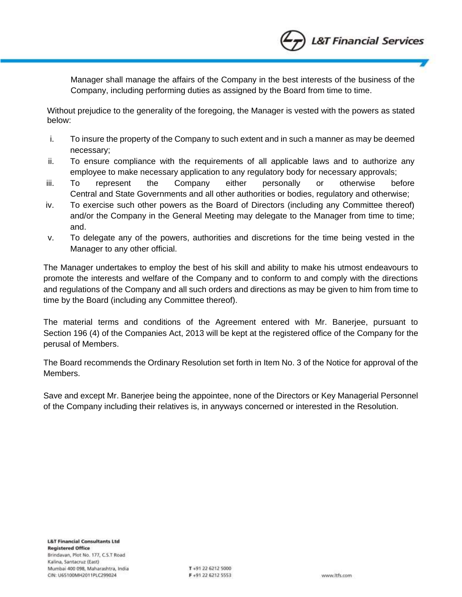Manager shall manage the affairs of the Company in the best interests of the business of the Company, including performing duties as assigned by the Board from time to time.

**L&T Financial Services** 

Without prejudice to the generality of the foregoing, the Manager is vested with the powers as stated below:

- i. To insure the property of the Company to such extent and in such a manner as may be deemed necessary;
- ii. To ensure compliance with the requirements of all applicable laws and to authorize any employee to make necessary application to any regulatory body for necessary approvals;
- iii. To represent the Company either personally or otherwise before Central and State Governments and all other authorities or bodies, regulatory and otherwise;
- iv. To exercise such other powers as the Board of Directors (including any Committee thereof) and/or the Company in the General Meeting may delegate to the Manager from time to time; and.
- v. To delegate any of the powers, authorities and discretions for the time being vested in the Manager to any other official.

The Manager undertakes to employ the best of his skill and ability to make his utmost endeavours to promote the interests and welfare of the Company and to conform to and comply with the directions and regulations of the Company and all such orders and directions as may be given to him from time to time by the Board (including any Committee thereof).

The material terms and conditions of the Agreement entered with Mr. Banerjee, pursuant to Section 196 (4) of the Companies Act, 2013 will be kept at the registered office of the Company for the perusal of Members.

The Board recommends the Ordinary Resolution set forth in Item No. 3 of the Notice for approval of the Members.

Save and except Mr. Banerjee being the appointee, none of the Directors or Key Managerial Personnel of the Company including their relatives is, in anyways concerned or interested in the Resolution.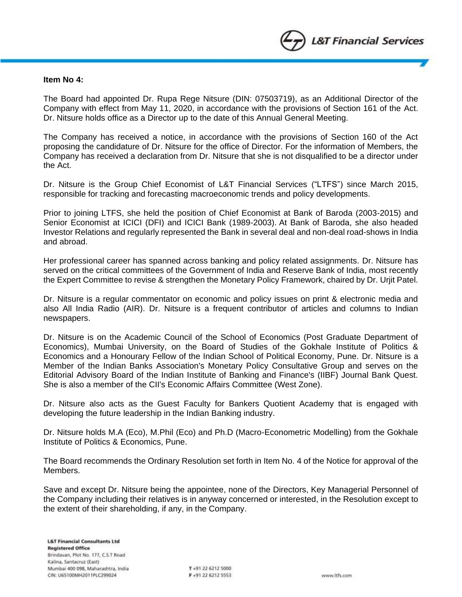

#### **Item No 4:**

The Board had appointed Dr. Rupa Rege Nitsure (DIN: 07503719), as an Additional Director of the Company with effect from May 11, 2020, in accordance with the provisions of Section 161 of the Act. Dr. Nitsure holds office as a Director up to the date of this Annual General Meeting.

The Company has received a notice, in accordance with the provisions of Section 160 of the Act proposing the candidature of Dr. Nitsure for the office of Director. For the information of Members, the Company has received a declaration from Dr. Nitsure that she is not disqualified to be a director under the Act.

Dr. Nitsure is the Group Chief Economist of L&T Financial Services ("LTFS") since March 2015, responsible for tracking and forecasting macroeconomic trends and policy developments.

Prior to joining LTFS, she held the position of Chief Economist at Bank of Baroda (2003-2015) and Senior Economist at ICICI (DFI) and ICICI Bank (1989-2003). At Bank of Baroda, she also headed Investor Relations and regularly represented the Bank in several deal and non-deal road-shows in India and abroad.

Her professional career has spanned across banking and policy related assignments. Dr. Nitsure has served on the critical committees of the Government of India and Reserve Bank of India, most recently the Expert Committee to revise & strengthen the Monetary Policy Framework, chaired by Dr. Urjit Patel.

Dr. Nitsure is a regular commentator on economic and policy issues on print & electronic media and also All India Radio (AIR). Dr. Nitsure is a frequent contributor of articles and columns to Indian newspapers.

Dr. Nitsure is on the Academic Council of the School of Economics (Post Graduate Department of Economics), Mumbai University, on the Board of Studies of the Gokhale Institute of Politics & Economics and a Honourary Fellow of the Indian School of Political Economy, Pune. Dr. Nitsure is a Member of the Indian Banks Association's Monetary Policy Consultative Group and serves on the Editorial Advisory Board of the Indian Institute of Banking and Finance's (IIBF) Journal Bank Quest. She is also a member of the CII's Economic Affairs Committee (West Zone).

Dr. Nitsure also acts as the Guest Faculty for Bankers Quotient Academy that is engaged with developing the future leadership in the Indian Banking industry.

Dr. Nitsure holds M.A (Eco), M.Phil (Eco) and Ph.D (Macro-Econometric Modelling) from the Gokhale Institute of Politics & Economics, Pune.

The Board recommends the Ordinary Resolution set forth in Item No. 4 of the Notice for approval of the Members.

Save and except Dr. Nitsure being the appointee, none of the Directors, Key Managerial Personnel of the Company including their relatives is in anyway concerned or interested, in the Resolution except to the extent of their shareholding, if any, in the Company.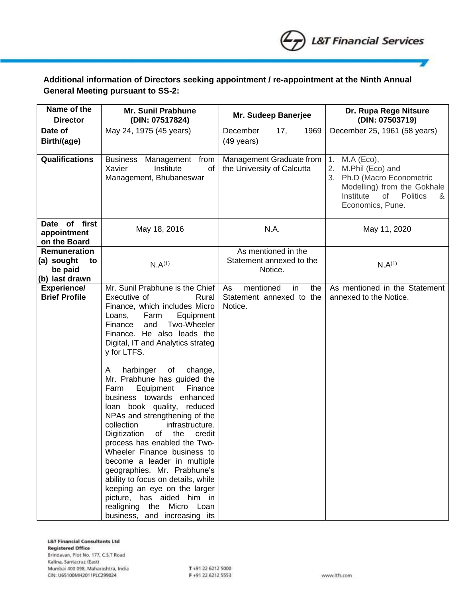

w

# **Additional information of Directors seeking appointment / re-appointment at the Ninth Annual General Meeting pursuant to SS-2:**

| Name of the<br><b>Director</b>                                | <b>Mr. Sunil Prabhune</b><br>(DIN: 07517824)                                                                                                                                                                                                                                                                                                                                                                                                                                                                                                                          | Mr. Sudeep Banerjee                                                  | Dr. Rupa Rege Nitsure<br>(DIN: 07503719)                                                                                                                            |
|---------------------------------------------------------------|-----------------------------------------------------------------------------------------------------------------------------------------------------------------------------------------------------------------------------------------------------------------------------------------------------------------------------------------------------------------------------------------------------------------------------------------------------------------------------------------------------------------------------------------------------------------------|----------------------------------------------------------------------|---------------------------------------------------------------------------------------------------------------------------------------------------------------------|
| Date of<br>Birth/(age)                                        | May 24, 1975 (45 years)                                                                                                                                                                                                                                                                                                                                                                                                                                                                                                                                               | 17,<br>December<br>1969<br>$(49 \text{ years})$                      | December 25, 1961 (58 years)                                                                                                                                        |
| <b>Qualifications</b>                                         | Business Management from<br>Xavier<br>Institute<br>of<br>Management, Bhubaneswar                                                                                                                                                                                                                                                                                                                                                                                                                                                                                      | Management Graduate from<br>the University of Calcutta               | 1. M.A (Eco),<br>M.Phil (Eco) and<br>2.<br>3. Ph.D (Macro Econometric<br>Modelling) from the Gokhale<br>Institute<br>of<br><b>Politics</b><br>&<br>Economics, Pune. |
| Date of first<br>appointment<br>on the Board                  | May 18, 2016                                                                                                                                                                                                                                                                                                                                                                                                                                                                                                                                                          | N.A.                                                                 | May 11, 2020                                                                                                                                                        |
| Remuneration<br>(a) sought<br>to<br>be paid<br>(b) last drawn | $N.A^{(1)}$                                                                                                                                                                                                                                                                                                                                                                                                                                                                                                                                                           | As mentioned in the<br>Statement annexed to the<br>Notice.           | $N.A^{(1)}$                                                                                                                                                         |
| <b>Experience/</b><br><b>Brief Profile</b>                    | Mr. Sunil Prabhune is the Chief<br>Executive of<br>Rural<br>Finance, which includes Micro<br>Farm<br>Equipment<br>Loans,<br>Two-Wheeler<br>Finance<br>and<br>Finance. He also leads the<br>Digital, IT and Analytics strateg<br>y for LTFS.                                                                                                                                                                                                                                                                                                                           | mentioned<br>the<br>As<br>in.<br>Statement annexed to the<br>Notice. | As mentioned in the Statement<br>annexed to the Notice.                                                                                                             |
|                                                               | harbinger<br>of<br>change,<br>A<br>Mr. Prabhune has guided the<br>Equipment<br>Finance<br>Farm<br>business towards enhanced<br>loan book quality, reduced<br>NPAs and strengthening of the<br>collection<br>infrastructure.<br>Digitization<br>of<br>the<br>credit<br>process has enabled the Two-<br>Wheeler Finance business to<br>become a leader in multiple<br>geographies. Mr. Prabhune's<br>ability to focus on details, while<br>keeping an eye on the larger<br>picture, has aided him in<br>realigning<br>the<br>Micro Loan<br>business, and increasing its |                                                                      |                                                                                                                                                                     |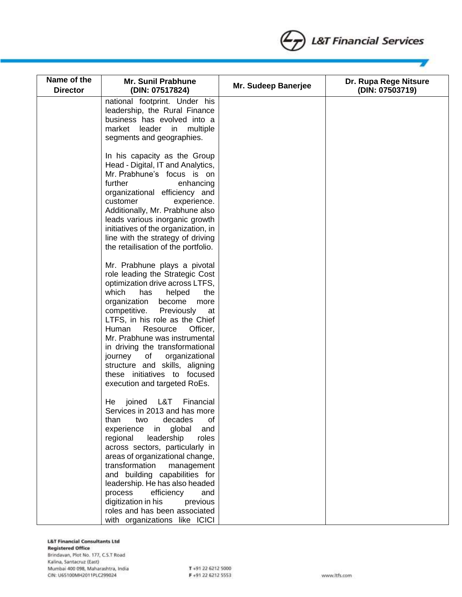

z

| Name of the<br><b>Director</b> | <b>Mr. Sunil Prabhune</b><br>(DIN: 07517824)                       | Mr. Sudeep Banerjee | Dr. Rupa Rege Nitsure<br>(DIN: 07503719) |
|--------------------------------|--------------------------------------------------------------------|---------------------|------------------------------------------|
|                                | national footprint. Under his                                      |                     |                                          |
|                                | leadership, the Rural Finance                                      |                     |                                          |
|                                | business has evolved into a                                        |                     |                                          |
|                                | leader in multiple<br>market                                       |                     |                                          |
|                                | segments and geographies.                                          |                     |                                          |
|                                | In his capacity as the Group                                       |                     |                                          |
|                                | Head - Digital, IT and Analytics,                                  |                     |                                          |
|                                | Mr. Prabhune's focus is on                                         |                     |                                          |
|                                | further<br>enhancing                                               |                     |                                          |
|                                | organizational efficiency and                                      |                     |                                          |
|                                | experience.<br>customer                                            |                     |                                          |
|                                | Additionally, Mr. Prabhune also                                    |                     |                                          |
|                                | leads various inorganic growth                                     |                     |                                          |
|                                | initiatives of the organization, in                                |                     |                                          |
|                                | line with the strategy of driving                                  |                     |                                          |
|                                | the retailisation of the portfolio.                                |                     |                                          |
|                                |                                                                    |                     |                                          |
|                                | Mr. Prabhune plays a pivotal                                       |                     |                                          |
|                                | role leading the Strategic Cost                                    |                     |                                          |
|                                | optimization drive across LTFS,<br>which<br>has<br>the             |                     |                                          |
|                                | helped<br>become<br>organization<br>more                           |                     |                                          |
|                                | Previously<br>competitive.<br>at                                   |                     |                                          |
|                                | LTFS, in his role as the Chief                                     |                     |                                          |
|                                | <b>Human</b><br>Resource<br>Officer,                               |                     |                                          |
|                                | Mr. Prabhune was instrumental                                      |                     |                                          |
|                                | in driving the transformational                                    |                     |                                          |
|                                | organizational<br>journey<br>of                                    |                     |                                          |
|                                | structure and skills, aligning                                     |                     |                                          |
|                                | these initiatives to focused                                       |                     |                                          |
|                                | execution and targeted RoEs.                                       |                     |                                          |
|                                |                                                                    |                     |                                          |
|                                | L&T<br>joined<br>Financial<br>He                                   |                     |                                          |
|                                | Services in 2013 and has more                                      |                     |                                          |
|                                | two<br>decades<br>of<br>than                                       |                     |                                          |
|                                | experience in global<br>and                                        |                     |                                          |
|                                | leadership<br>roles<br>regional                                    |                     |                                          |
|                                | across sectors, particularly in<br>areas of organizational change, |                     |                                          |
|                                | transformation<br>management                                       |                     |                                          |
|                                | and building capabilities for                                      |                     |                                          |
|                                | leadership. He has also headed                                     |                     |                                          |
|                                | process<br>efficiency<br>and                                       |                     |                                          |
|                                | digitization in his<br>previous                                    |                     |                                          |
|                                | roles and has been associated                                      |                     |                                          |
|                                | with organizations like ICICI                                      |                     |                                          |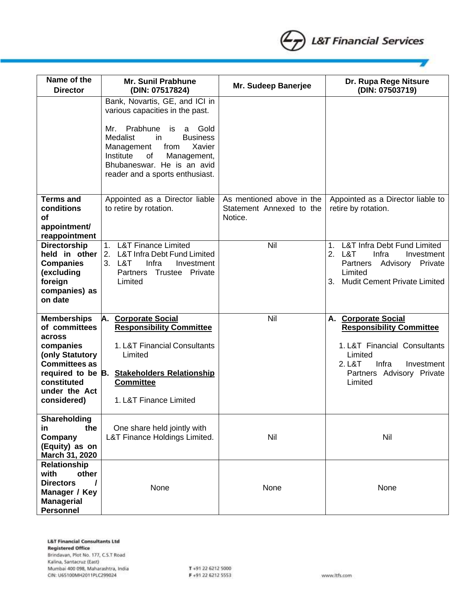

 $\overline{\mathscr{L}}$ 

| Name of the<br><b>Director</b>                                                                                                                       | <b>Mr. Sunil Prabhune</b><br>(DIN: 07517824)                                                                                                                                                                                                                                        | Mr. Sudeep Banerjee                                              | Dr. Rupa Rege Nitsure<br>(DIN: 07503719)                                                                                                                                   |
|------------------------------------------------------------------------------------------------------------------------------------------------------|-------------------------------------------------------------------------------------------------------------------------------------------------------------------------------------------------------------------------------------------------------------------------------------|------------------------------------------------------------------|----------------------------------------------------------------------------------------------------------------------------------------------------------------------------|
|                                                                                                                                                      | Bank, Novartis, GE, and ICI in<br>various capacities in the past.<br>Prabhune<br>Mr.<br>is<br>a Gold<br><b>Business</b><br><b>Medalist</b><br>in<br>from<br>Xavier<br>Management<br>of<br>Institute<br>Management,<br>Bhubaneswar. He is an avid<br>reader and a sports enthusiast. |                                                                  |                                                                                                                                                                            |
| <b>Terms and</b><br>conditions<br>Οf<br>appointment/<br>reappointment                                                                                | Appointed as a Director liable<br>to retire by rotation.                                                                                                                                                                                                                            | As mentioned above in the<br>Statement Annexed to the<br>Notice. | Appointed as a Director liable to<br>retire by rotation.                                                                                                                   |
| <b>Directorship</b><br>held in other<br><b>Companies</b><br>(excluding<br>foreign<br>companies) as<br>on date                                        | 1. L&T Finance Limited<br>2.<br><b>L&amp;T Infra Debt Fund Limited</b><br>3. L&T<br>Infra<br>Investment<br>Partners Trustee Private<br>Limited                                                                                                                                      | Nil                                                              | L&T Infra Debt Fund Limited<br>1.<br>2.<br>L&T<br>Infra<br>Investment<br>Partners Advisory Private<br>Limited<br>3. Mudit Cement Private Limited                           |
| <b>Memberships</b><br>of committees<br>across<br>companies<br>(only Statutory<br><b>Committees as</b><br>constituted<br>under the Act<br>considered) | А.<br><b>Corporate Social</b><br><b>Responsibility Committee</b><br>1. L&T Financial Consultants<br>Limited<br>required to be B. Stakeholders Relationship<br><b>Committee</b><br>1. L&T Finance Limited                                                                            | Nil                                                              | A. Corporate Social<br><b>Responsibility Committee</b><br>1. L&T Financial Consultants<br>Limited<br>2. L&T<br>Infra<br>Investment<br>Partners Advisory Private<br>Limited |
| Shareholding<br>the<br>in.<br>Company<br>(Equity) as on<br>March 31, 2020                                                                            | One share held jointly with<br>L&T Finance Holdings Limited.                                                                                                                                                                                                                        | Nil                                                              | Nil                                                                                                                                                                        |
| <b>Relationship</b><br>with<br>other<br><b>Directors</b><br>Manager / Key<br><b>Managerial</b><br><b>Personnel</b>                                   | None                                                                                                                                                                                                                                                                                | None                                                             | None                                                                                                                                                                       |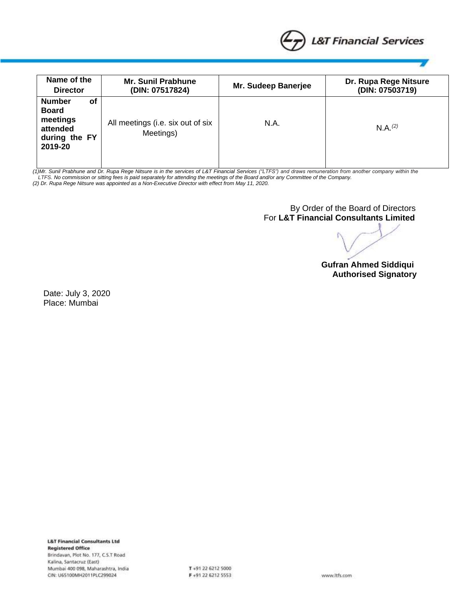

| Name of the                                                                             | <b>Mr. Sunil Prabhune</b>                      | Mr. Sudeep Banerjee | Dr. Rupa Rege Nitsure |
|-----------------------------------------------------------------------------------------|------------------------------------------------|---------------------|-----------------------|
| <b>Director</b>                                                                         | (DIN: 07517824)                                |                     | (DIN: 07503719)       |
| <b>Number</b><br>оf<br><b>Board</b><br>meetings<br>attended<br>during the FY<br>2019-20 | All meetings (i.e. six out of six<br>Meetings) | N.A.                | N.A. (2)              |

*(1)Mr. Sunil Prabhune and Dr. Rupa Rege Nitsure is in the services of L&T Financial Services ("LTFS") and draws remuneration from another company within the LTFS. No commission or sitting fees is paid separately for attending the meetings of the Board and/or any Committee of the Company. (2) Dr. Rupa Rege Nitsure was appointed as a Non-Executive Director with effect from May 11, 2020.*

> By Order of the Board of Directors For **L&T Financial Consultants Limited**

**Gufran Ahmed Siddiqui Authorised Signatory** 

Date: July 3, 2020 Place: Mumbai

**L&T Financial Consultants Ltd Registered Office** Brindavan, Plot No. 177, C.S.T Road Kalina, Santacruz (East) Mumbai 400 098, Maharashtra, India CIN: U65100MH2011PLC299024

T+91 22 6212 5000 F+91 22 6212 5553

www.ltfs.com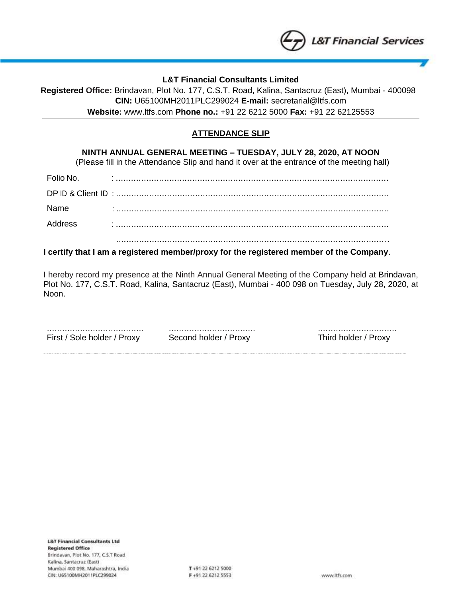

## **L&T Financial Consultants Limited**

**Registered Office:** Brindavan, Plot No. 177, C.S.T. Road, Kalina, Santacruz (East), Mumbai - 400098 **CIN:** U65100MH2011PLC299024 **E-mail:** secretarial@ltfs.com **Website:** [www.ltfs.com](http://www.ltfs.com/) **Phone no.:** +91 22 6212 5000 **Fax:** +91 22 62125553

# **ATTENDANCE SLIP**

## **NINTH ANNUAL GENERAL MEETING – TUESDAY, JULY 28, 2020, AT NOON**

(Please fill in the Attendance Slip and hand it over at the entrance of the meeting hall)

| Folio No. |  |
|-----------|--|
|           |  |
| Name      |  |
| Address   |  |
|           |  |

## **I certify that I am a registered member/proxy for the registered member of the Company**.

I hereby record my presence at the Ninth Annual General Meeting of the Company held at Brindavan, Plot No. 177, C.S.T. Road, Kalina, Santacruz (East), Mumbai - 400 098 on Tuesday, July 28, 2020, at Noon.

...................................... .................................. ............................... First / Sole holder / Proxy Second holder / Proxy Third holder / Proxy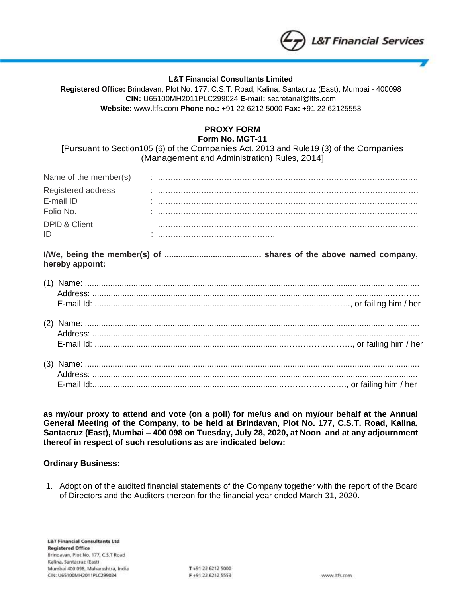

#### **L&T Financial Consultants Limited**

**Registered Office:** Brindavan, Plot No. 177, C.S.T. Road, Kalina, Santacruz (East), Mumbai - 400098 **CIN:** U65100MH2011PLC299024 **E-mail:** secretarial@ltfs.com **Website:** [www.ltfs.com](http://www.ltfs.com/) **Phone no.:** +91 22 6212 5000 **Fax:** +91 22 62125553

## **PROXY FORM Form No. MGT-11**

[Pursuant to Section105 (6) of the Companies Act, 2013 and Rule19 (3) of the Companies (Management and Administration) Rules, 2014]

| hereby appoint:                 |  |
|---------------------------------|--|
| <b>DPID &amp; Client</b><br>ID  |  |
| Folio No.                       |  |
| Registered address<br>E-mail ID |  |
| Name of the member(s)           |  |
|                                 |  |

**as my/our proxy to attend and vote (on a poll) for me/us and on my/our behalf at the Annual General Meeting of the Company, to be held at Brindavan, Plot No. 177, C.S.T. Road, Kalina, Santacruz (East), Mumbai – 400 098 on Tuesday, July 28, 2020, at Noon and at any adjournment thereof in respect of such resolutions as are indicated below:**

#### **Ordinary Business:**

1. Adoption of the audited financial statements of the Company together with the report of the Board of Directors and the Auditors thereon for the financial year ended March 31, 2020.